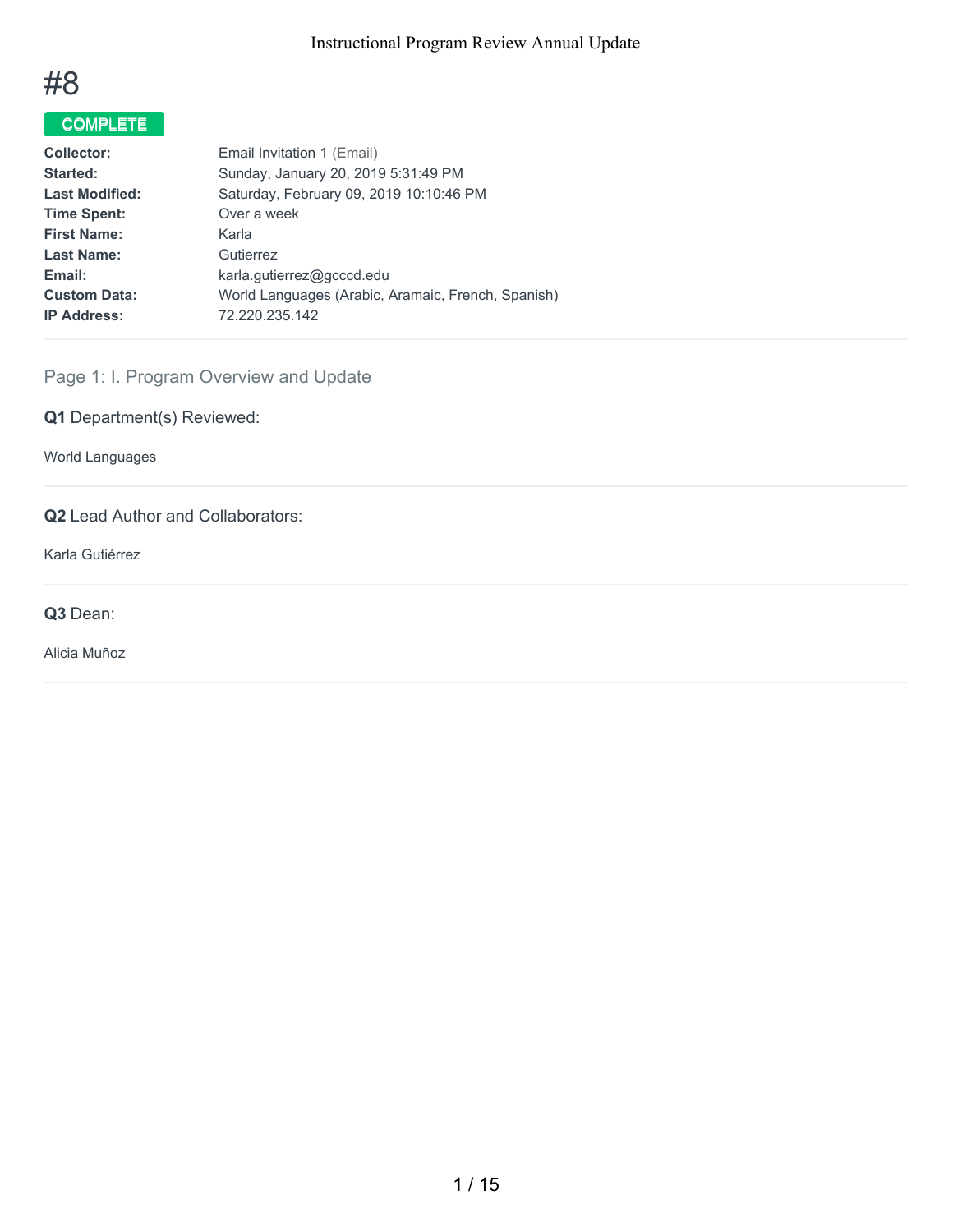

# COMPLETE

| <b>Collector:</b>     | Email Invitation 1 (Email)                         |
|-----------------------|----------------------------------------------------|
| Started:              | Sunday, January 20, 2019 5:31:49 PM                |
| <b>Last Modified:</b> | Saturday, February 09, 2019 10:10:46 PM            |
| <b>Time Spent:</b>    | Over a week                                        |
| <b>First Name:</b>    | Karla                                              |
| <b>Last Name:</b>     | Gutierrez                                          |
| Email:                | karla.qutierrez@gcccd.edu                          |
| <b>Custom Data:</b>   | World Languages (Arabic, Aramaic, French, Spanish) |
| <b>IP Address:</b>    | 72.220.235.142                                     |
|                       |                                                    |

# Page 1: I. Program Overview and Update

**Q1** Department(s) Reviewed:

World Languages

# **Q2** Lead Author and Collaborators:

Karla Gutiérrez

**Q3** Dean:

Alicia Muñoz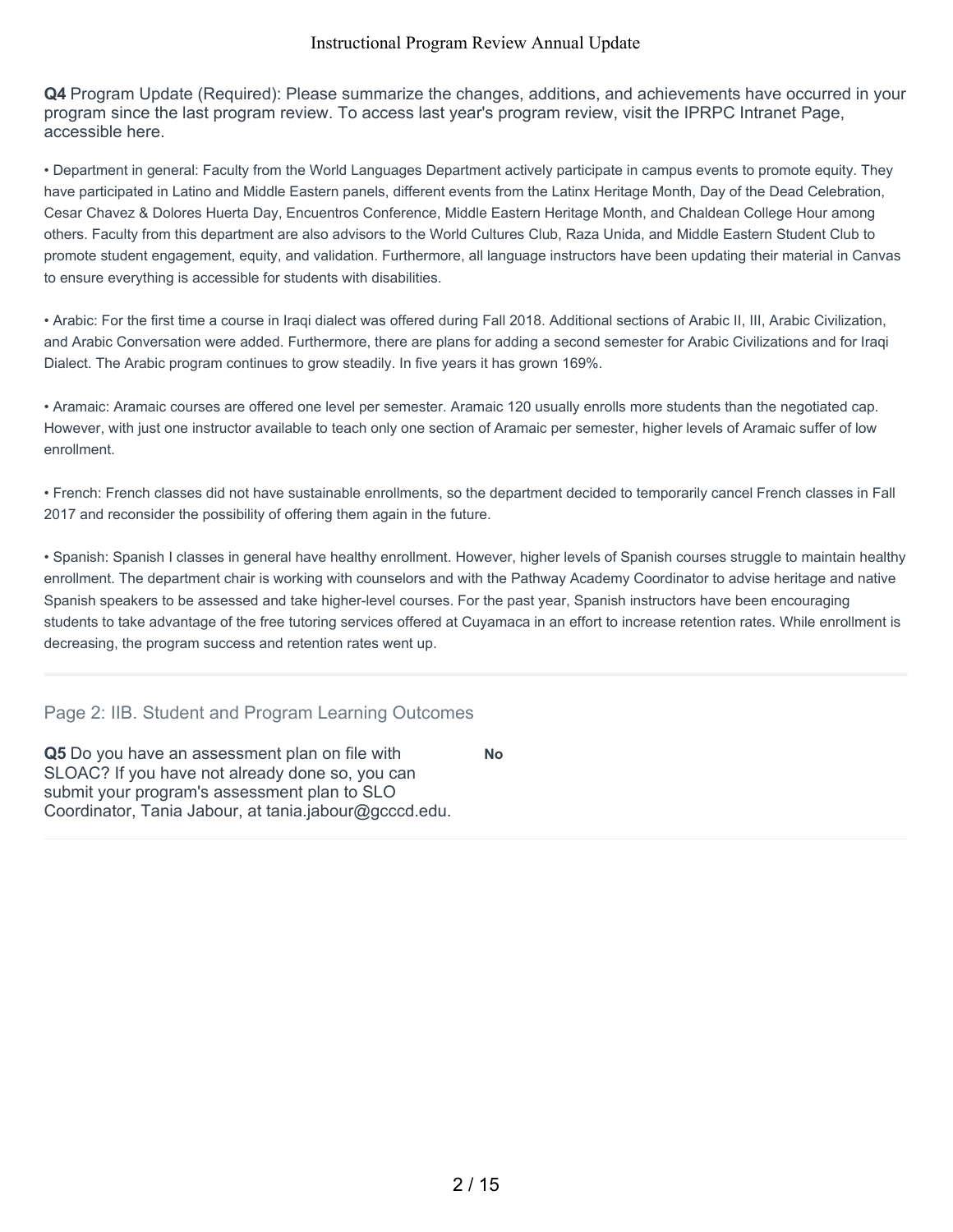**Q4** Program Update (Required): Please summarize the changes, additions, and achievements have occurred in your program since the last program review. To access last year's program review, visit the IPRPC Intranet Page, accessible here.

• Department in general: Faculty from the World Languages Department actively participate in campus events to promote equity. They have participated in Latino and Middle Eastern panels, different events from the Latinx Heritage Month, Day of the Dead Celebration, Cesar Chavez & Dolores Huerta Day, Encuentros Conference, Middle Eastern Heritage Month, and Chaldean College Hour among others. Faculty from this department are also advisors to the World Cultures Club, Raza Unida, and Middle Eastern Student Club to promote student engagement, equity, and validation. Furthermore, all language instructors have been updating their material in Canvas to ensure everything is accessible for students with disabilities.

• Arabic: For the first time a course in Iraqi dialect was offered during Fall 2018. Additional sections of Arabic II, III, Arabic Civilization, and Arabic Conversation were added. Furthermore, there are plans for adding a second semester for Arabic Civilizations and for Iraqi Dialect. The Arabic program continues to grow steadily. In five years it has grown 169%.

• Aramaic: Aramaic courses are offered one level per semester. Aramaic 120 usually enrolls more students than the negotiated cap. However, with just one instructor available to teach only one section of Aramaic per semester, higher levels of Aramaic suffer of low enrollment.

• French: French classes did not have sustainable enrollments, so the department decided to temporarily cancel French classes in Fall 2017 and reconsider the possibility of offering them again in the future.

• Spanish: Spanish I classes in general have healthy enrollment. However, higher levels of Spanish courses struggle to maintain healthy enrollment. The department chair is working with counselors and with the Pathway Academy Coordinator to advise heritage and native Spanish speakers to be assessed and take higher-level courses. For the past year, Spanish instructors have been encouraging students to take advantage of the free tutoring services offered at Cuyamaca in an effort to increase retention rates. While enrollment is decreasing, the program success and retention rates went up.

**No**

# Page 2: IIB. Student and Program Learning Outcomes

**Q5** Do you have an assessment plan on file with SLOAC? If you have not already done so, you can submit your program's assessment plan to SLO Coordinator, Tania Jabour, at tania.jabour@gcccd.edu.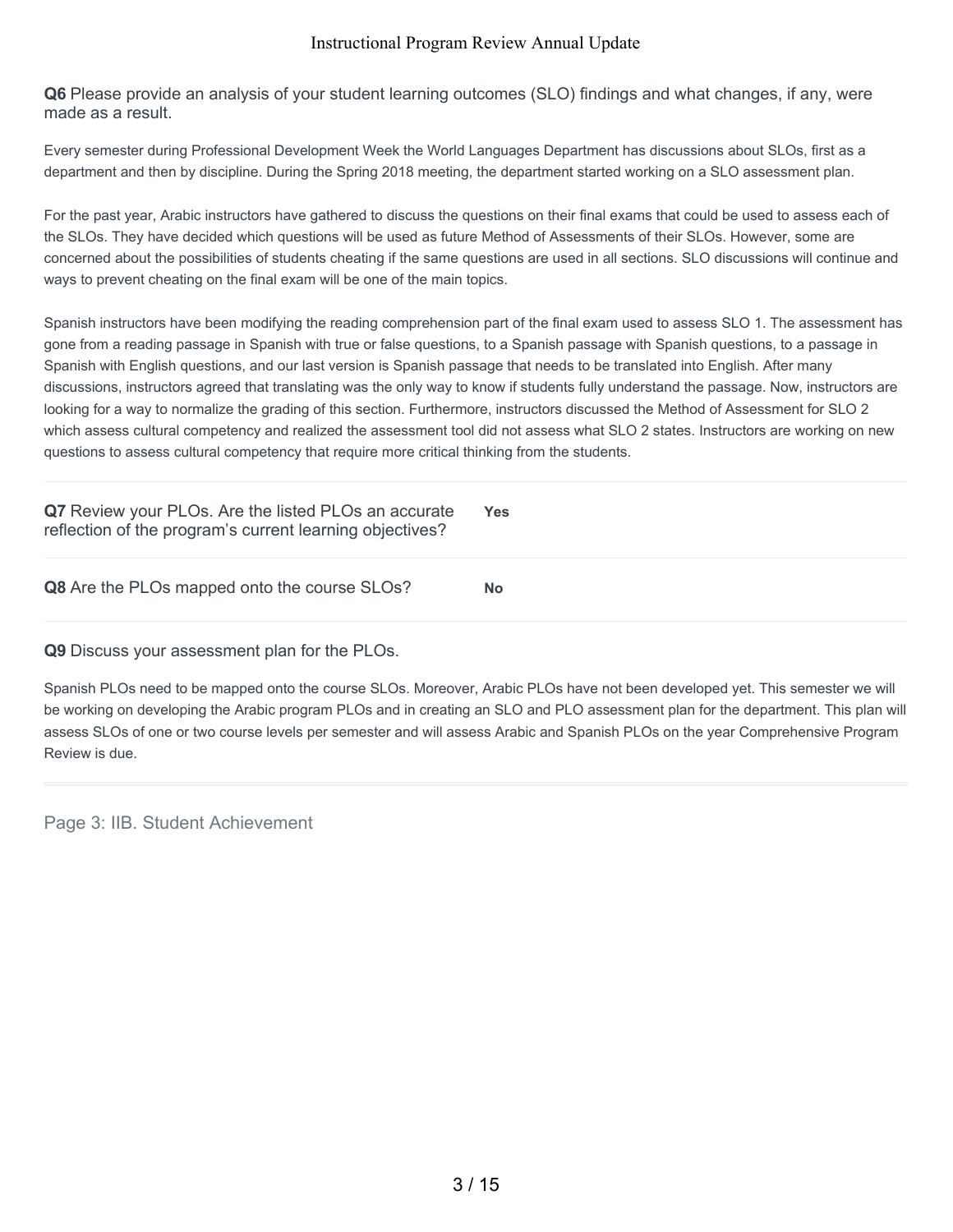**Q6** Please provide an analysis of your student learning outcomes (SLO) findings and what changes, if any, were made as a result.

Every semester during Professional Development Week the World Languages Department has discussions about SLOs, first as a department and then by discipline. During the Spring 2018 meeting, the department started working on a SLO assessment plan.

For the past year, Arabic instructors have gathered to discuss the questions on their final exams that could be used to assess each of the SLOs. They have decided which questions will be used as future Method of Assessments of their SLOs. However, some are concerned about the possibilities of students cheating if the same questions are used in all sections. SLO discussions will continue and ways to prevent cheating on the final exam will be one of the main topics.

Spanish instructors have been modifying the reading comprehension part of the final exam used to assess SLO 1. The assessment has gone from a reading passage in Spanish with true or false questions, to a Spanish passage with Spanish questions, to a passage in Spanish with English questions, and our last version is Spanish passage that needs to be translated into English. After many discussions, instructors agreed that translating was the only way to know if students fully understand the passage. Now, instructors are looking for a way to normalize the grading of this section. Furthermore, instructors discussed the Method of Assessment for SLO 2 which assess cultural competency and realized the assessment tool did not assess what SLO 2 states. Instructors are working on new questions to assess cultural competency that require more critical thinking from the students.

| Q7 Review your PLOs. Are the listed PLOs an accurate<br>reflection of the program's current learning objectives? | <b>Yes</b> |
|------------------------------------------------------------------------------------------------------------------|------------|
| Q8 Are the PLOs mapped onto the course SLOs?                                                                     | No         |

**Q9** Discuss your assessment plan for the PLOs.

Spanish PLOs need to be mapped onto the course SLOs. Moreover, Arabic PLOs have not been developed yet. This semester we will be working on developing the Arabic program PLOs and in creating an SLO and PLO assessment plan for the department. This plan will assess SLOs of one or two course levels per semester and will assess Arabic and Spanish PLOs on the year Comprehensive Program Review is due.

Page 3: IIB. Student Achievement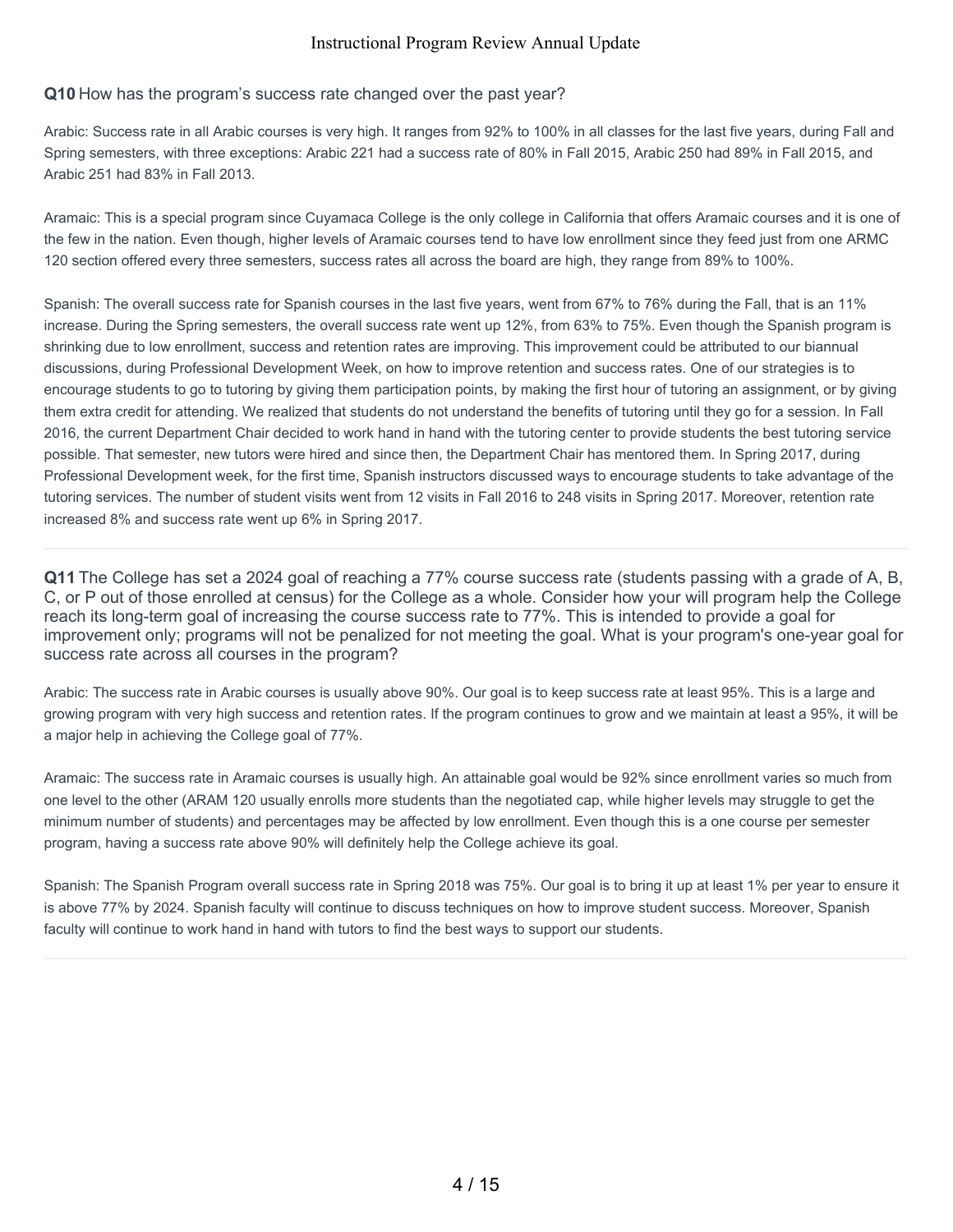#### **Q10** How has the program's success rate changed over the past year?

Arabic: Success rate in all Arabic courses is very high. It ranges from 92% to 100% in all classes for the last five years, during Fall and Spring semesters, with three exceptions: Arabic 221 had a success rate of 80% in Fall 2015, Arabic 250 had 89% in Fall 2015, and Arabic 251 had 83% in Fall 2013.

Aramaic: This is a special program since Cuyamaca College is the only college in California that offers Aramaic courses and it is one of the few in the nation. Even though, higher levels of Aramaic courses tend to have low enrollment since they feed just from one ARMC 120 section offered every three semesters, success rates all across the board are high, they range from 89% to 100%.

Spanish: The overall success rate for Spanish courses in the last five years, went from 67% to 76% during the Fall, that is an 11% increase. During the Spring semesters, the overall success rate went up 12%, from 63% to 75%. Even though the Spanish program is shrinking due to low enrollment, success and retention rates are improving. This improvement could be attributed to our biannual discussions, during Professional Development Week, on how to improve retention and success rates. One of our strategies is to encourage students to go to tutoring by giving them participation points, by making the first hour of tutoring an assignment, or by giving them extra credit for attending. We realized that students do not understand the benefits of tutoring until they go for a session. In Fall 2016, the current Department Chair decided to work hand in hand with the tutoring center to provide students the best tutoring service possible. That semester, new tutors were hired and since then, the Department Chair has mentored them. In Spring 2017, during Professional Development week, for the first time, Spanish instructors discussed ways to encourage students to take advantage of the tutoring services. The number of student visits went from 12 visits in Fall 2016 to 248 visits in Spring 2017. Moreover, retention rate increased 8% and success rate went up 6% in Spring 2017.

**Q11** The College has set a 2024 goal of reaching a 77% course success rate (students passing with a grade of A, B, C, or P out of those enrolled at census) for the College as a whole. Consider how your will program help the College reach its long-term goal of increasing the course success rate to 77%. This is intended to provide a goal for improvement only; programs will not be penalized for not meeting the goal. What is your program's one-year goal for success rate across all courses in the program?

Arabic: The success rate in Arabic courses is usually above 90%. Our goal is to keep success rate at least 95%. This is a large and growing program with very high success and retention rates. If the program continues to grow and we maintain at least a 95%, it will be a major help in achieving the College goal of 77%.

Aramaic: The success rate in Aramaic courses is usually high. An attainable goal would be 92% since enrollment varies so much from one level to the other (ARAM 120 usually enrolls more students than the negotiated cap, while higher levels may struggle to get the minimum number of students) and percentages may be affected by low enrollment. Even though this is a one course per semester program, having a success rate above 90% will definitely help the College achieve its goal.

Spanish: The Spanish Program overall success rate in Spring 2018 was 75%. Our goal is to bring it up at least 1% per year to ensure it is above 77% by 2024. Spanish faculty will continue to discuss techniques on how to improve student success. Moreover, Spanish faculty will continue to work hand in hand with tutors to find the best ways to support our students.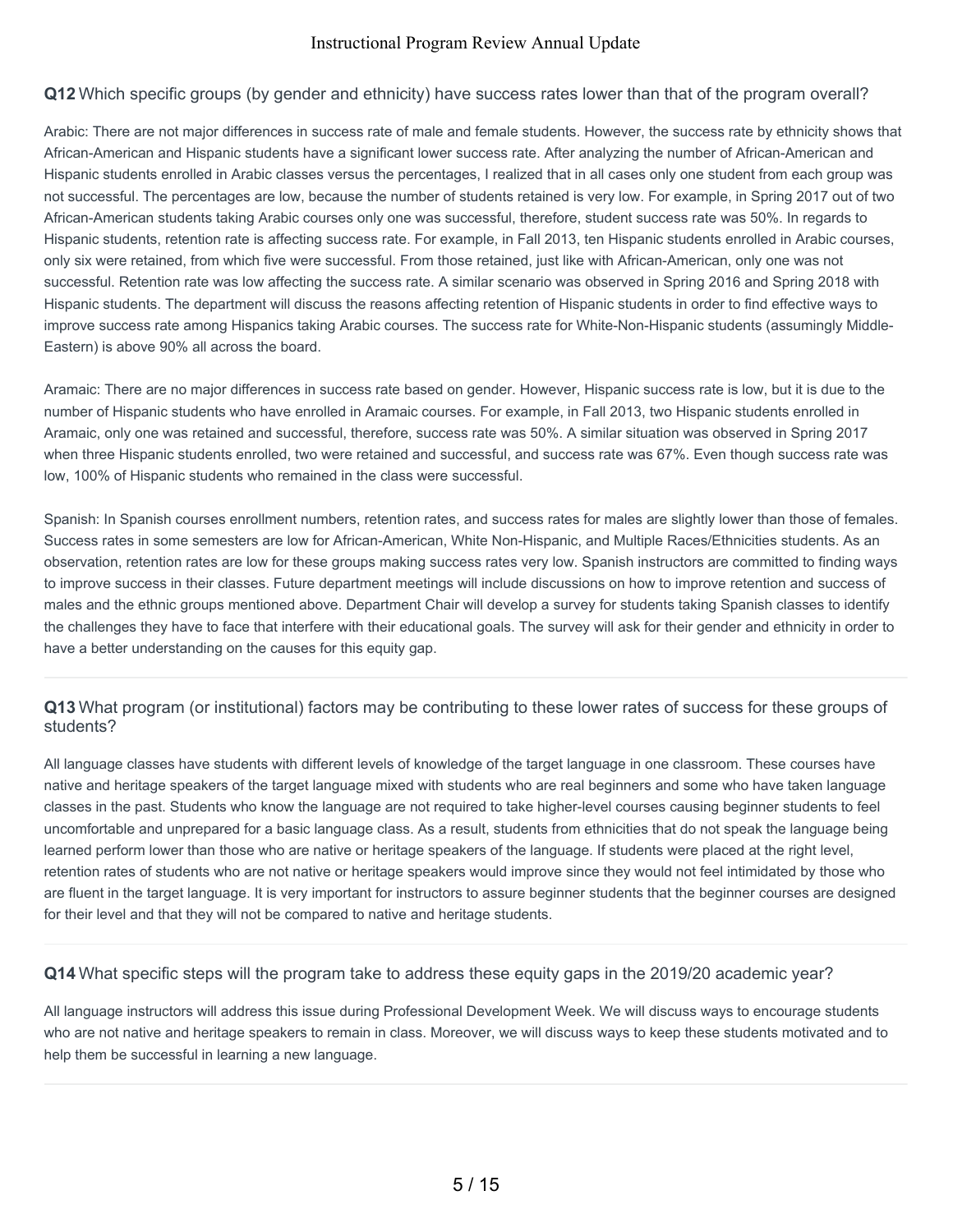#### **Q12** Which specific groups (by gender and ethnicity) have success rates lower than that of the program overall?

Arabic: There are not major differences in success rate of male and female students. However, the success rate by ethnicity shows that African-American and Hispanic students have a significant lower success rate. After analyzing the number of African-American and Hispanic students enrolled in Arabic classes versus the percentages, I realized that in all cases only one student from each group was not successful. The percentages are low, because the number of students retained is very low. For example, in Spring 2017 out of two African-American students taking Arabic courses only one was successful, therefore, student success rate was 50%. In regards to Hispanic students, retention rate is affecting success rate. For example, in Fall 2013, ten Hispanic students enrolled in Arabic courses, only six were retained, from which five were successful. From those retained, just like with African-American, only one was not successful. Retention rate was low affecting the success rate. A similar scenario was observed in Spring 2016 and Spring 2018 with Hispanic students. The department will discuss the reasons affecting retention of Hispanic students in order to find effective ways to improve success rate among Hispanics taking Arabic courses. The success rate for White-Non-Hispanic students (assumingly Middle-Eastern) is above 90% all across the board.

Aramaic: There are no major differences in success rate based on gender. However, Hispanic success rate is low, but it is due to the number of Hispanic students who have enrolled in Aramaic courses. For example, in Fall 2013, two Hispanic students enrolled in Aramaic, only one was retained and successful, therefore, success rate was 50%. A similar situation was observed in Spring 2017 when three Hispanic students enrolled, two were retained and successful, and success rate was 67%. Even though success rate was low, 100% of Hispanic students who remained in the class were successful.

Spanish: In Spanish courses enrollment numbers, retention rates, and success rates for males are slightly lower than those of females. Success rates in some semesters are low for African-American, White Non-Hispanic, and Multiple Races/Ethnicities students. As an observation, retention rates are low for these groups making success rates very low. Spanish instructors are committed to finding ways to improve success in their classes. Future department meetings will include discussions on how to improve retention and success of males and the ethnic groups mentioned above. Department Chair will develop a survey for students taking Spanish classes to identify the challenges they have to face that interfere with their educational goals. The survey will ask for their gender and ethnicity in order to have a better understanding on the causes for this equity gap.

# **Q13** What program (or institutional) factors may be contributing to these lower rates of success for these groups of students?

All language classes have students with different levels of knowledge of the target language in one classroom. These courses have native and heritage speakers of the target language mixed with students who are real beginners and some who have taken language classes in the past. Students who know the language are not required to take higher-level courses causing beginner students to feel uncomfortable and unprepared for a basic language class. As a result, students from ethnicities that do not speak the language being learned perform lower than those who are native or heritage speakers of the language. If students were placed at the right level, retention rates of students who are not native or heritage speakers would improve since they would not feel intimidated by those who are fluent in the target language. It is very important for instructors to assure beginner students that the beginner courses are designed for their level and that they will not be compared to native and heritage students.

#### **Q14** What specific steps will the program take to address these equity gaps in the 2019/20 academic year?

All language instructors will address this issue during Professional Development Week. We will discuss ways to encourage students who are not native and heritage speakers to remain in class. Moreover, we will discuss ways to keep these students motivated and to help them be successful in learning a new language.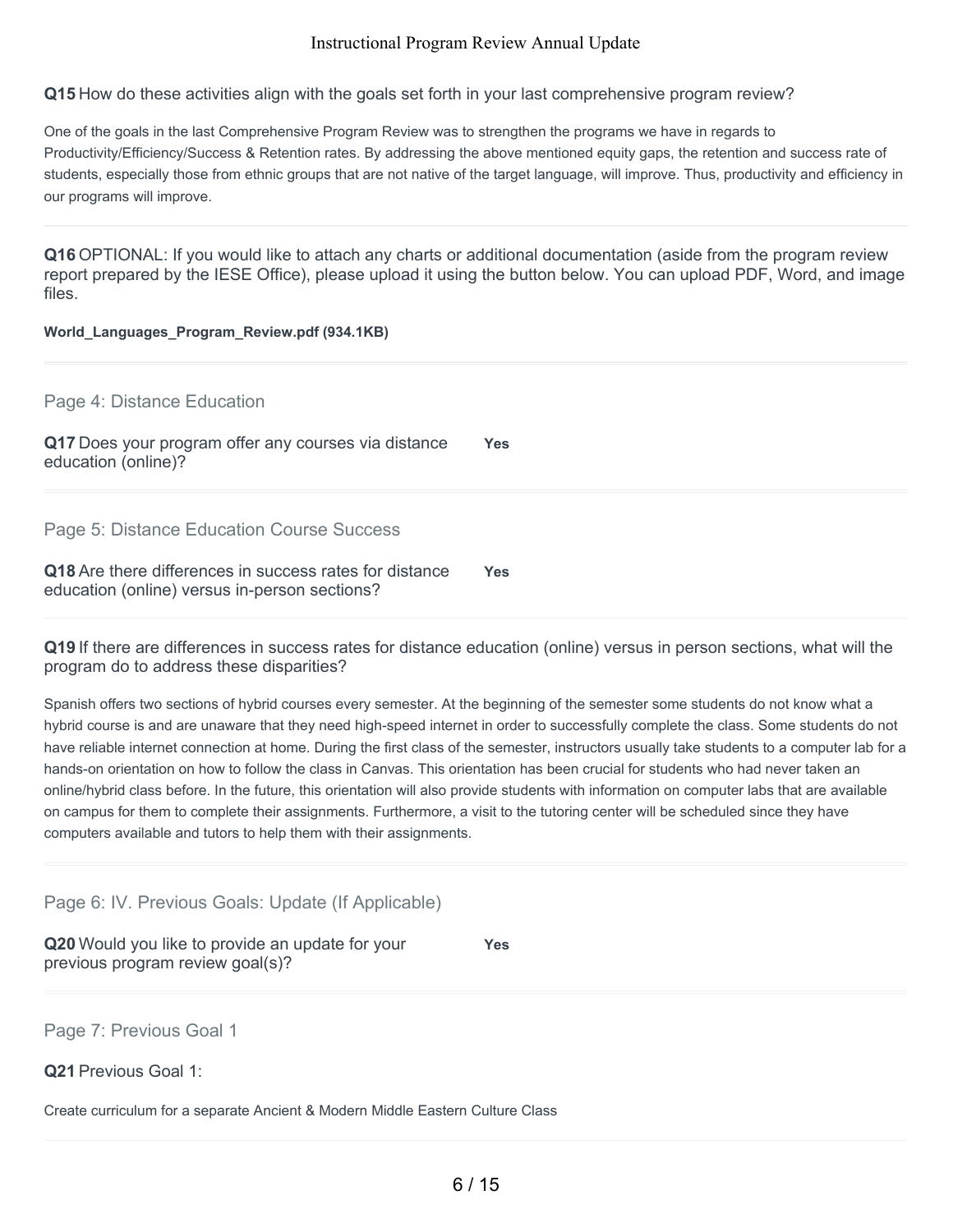**Q15** How do these activities align with the goals set forth in your last comprehensive program review?

One of the goals in the last Comprehensive Program Review was to strengthen the programs we have in regards to Productivity/Efficiency/Success & Retention rates. By addressing the above mentioned equity gaps, the retention and success rate of students, especially those from ethnic groups that are not native of the target language, will improve. Thus, productivity and efficiency in our programs will improve.

**Q16** OPTIONAL: If you would like to attach any charts or additional documentation (aside from the program review report prepared by the IESE Office), please upload it using the button below. You can upload PDF, Word, and image files.

#### **World\_Languages\_Program\_Review.pdf (934.1KB)**

Page 4: Distance Education

| Q17 Does your program offer any courses via distance |  |  | <b>Yes</b> |
|------------------------------------------------------|--|--|------------|
| education (online)?                                  |  |  |            |

Page 5: Distance Education Course Success

| Q18 Are there differences in success rates for distance | <b>Yes</b> |
|---------------------------------------------------------|------------|
| education (online) versus in-person sections?           |            |

**Q19** If there are differences in success rates for distance education (online) versus in person sections, what will the program do to address these disparities?

Spanish offers two sections of hybrid courses every semester. At the beginning of the semester some students do not know what a hybrid course is and are unaware that they need high-speed internet in order to successfully complete the class. Some students do not have reliable internet connection at home. During the first class of the semester, instructors usually take students to a computer lab for a hands-on orientation on how to follow the class in Canvas. This orientation has been crucial for students who had never taken an online/hybrid class before. In the future, this orientation will also provide students with information on computer labs that are available on campus for them to complete their assignments. Furthermore, a visit to the tutoring center will be scheduled since they have computers available and tutors to help them with their assignments.

Page 6: IV. Previous Goals: Update (If Applicable)

**Q20** Would you like to provide an update for your previous program review goal(s)?

**Yes**

Page 7: Previous Goal 1

**Q21** Previous Goal 1:

Create curriculum for a separate Ancient & Modern Middle Eastern Culture Class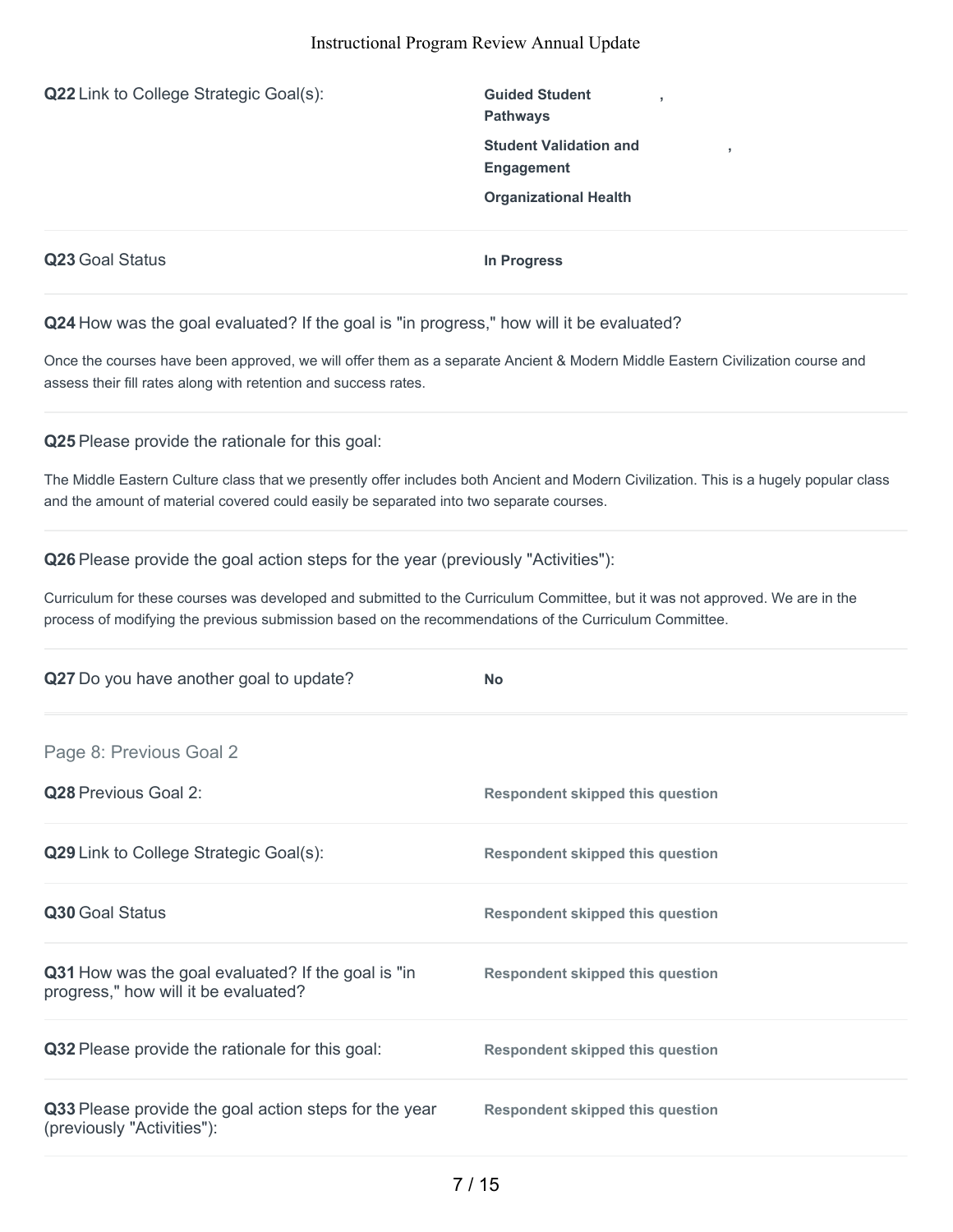**Q22** Link to College Strategic Goal(s): **Guided Student** 

**Pathways Student Validation and Engagement Organizational Health**

**,**

**,**

**Q23** Goal Status **In Progress**

**Q24** How was the goal evaluated? If the goal is "in progress," how will it be evaluated?

Once the courses have been approved, we will offer them as a separate Ancient & Modern Middle Eastern Civilization course and assess their fill rates along with retention and success rates.

**Q25** Please provide the rationale for this goal:

The Middle Eastern Culture class that we presently offer includes both Ancient and Modern Civilization. This is a hugely popular class and the amount of material covered could easily be separated into two separate courses.

**Q26** Please provide the goal action steps for the year (previously "Activities"):

Curriculum for these courses was developed and submitted to the Curriculum Committee, but it was not approved. We are in the process of modifying the previous submission based on the recommendations of the Curriculum Committee.

| Q27 Do you have another goal to update?                                                    | <b>No</b>                               |
|--------------------------------------------------------------------------------------------|-----------------------------------------|
| Page 8: Previous Goal 2                                                                    |                                         |
| <b>Q28</b> Previous Goal 2:                                                                | <b>Respondent skipped this question</b> |
| Q29 Link to College Strategic Goal(s):                                                     | <b>Respondent skipped this question</b> |
| Q30 Goal Status                                                                            | <b>Respondent skipped this question</b> |
| Q31 How was the goal evaluated? If the goal is "in<br>progress," how will it be evaluated? | <b>Respondent skipped this question</b> |
| Q32 Please provide the rationale for this goal:                                            | <b>Respondent skipped this question</b> |
| Q33 Please provide the goal action steps for the year<br>(previously "Activities"):        | <b>Respondent skipped this question</b> |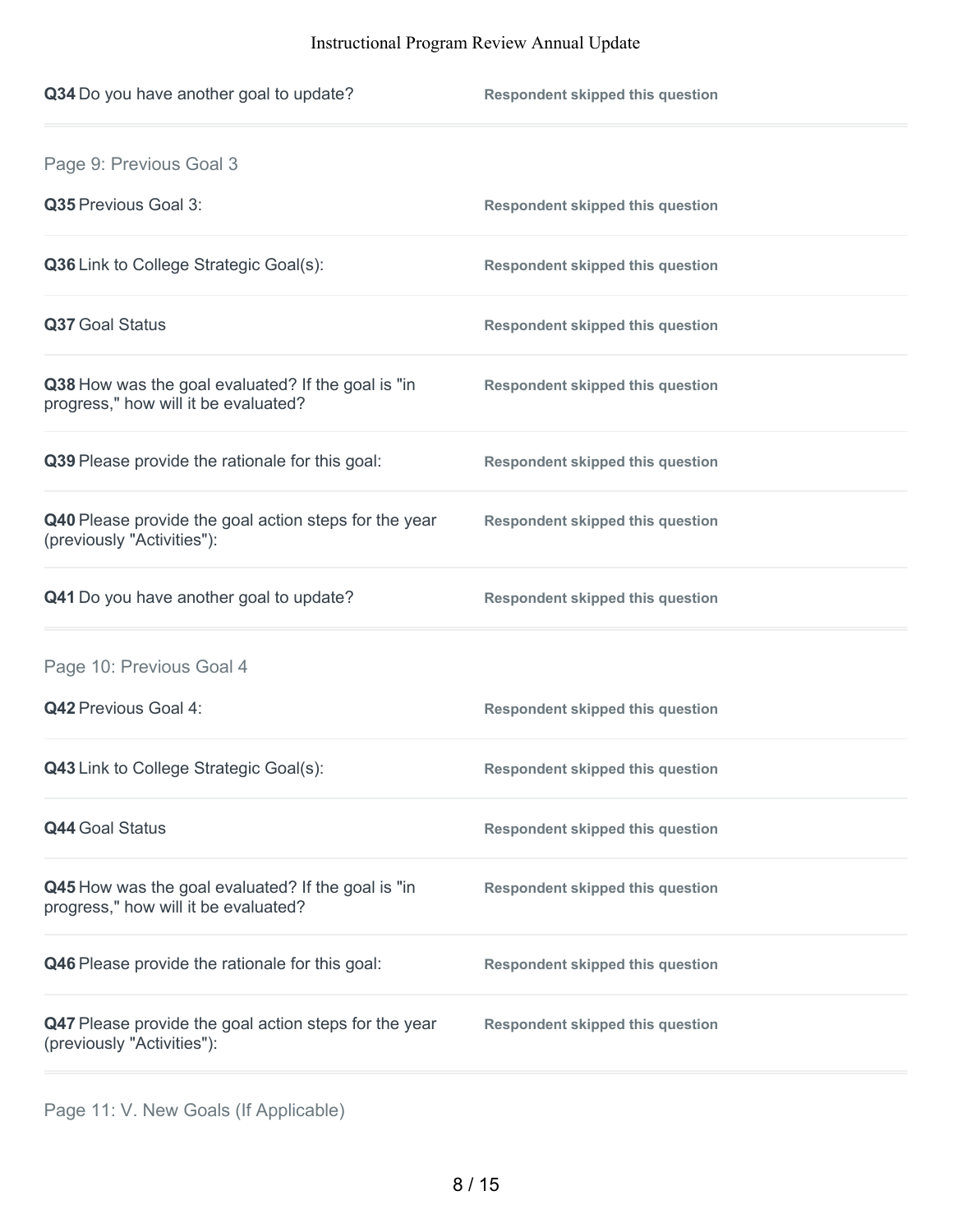| <b>Respondent skipped this question</b> |
|-----------------------------------------|
|                                         |
| <b>Respondent skipped this question</b> |
| <b>Respondent skipped this question</b> |
| <b>Respondent skipped this question</b> |
| <b>Respondent skipped this question</b> |
| <b>Respondent skipped this question</b> |
| <b>Respondent skipped this question</b> |
| <b>Respondent skipped this question</b> |
|                                         |
| <b>Respondent skipped this question</b> |
| <b>Respondent skipped this question</b> |
| <b>Respondent skipped this question</b> |
| <b>Respondent skipped this question</b> |
| <b>Respondent skipped this question</b> |
| <b>Respondent skipped this question</b> |
|                                         |

Page 11: V. New Goals (If Applicable)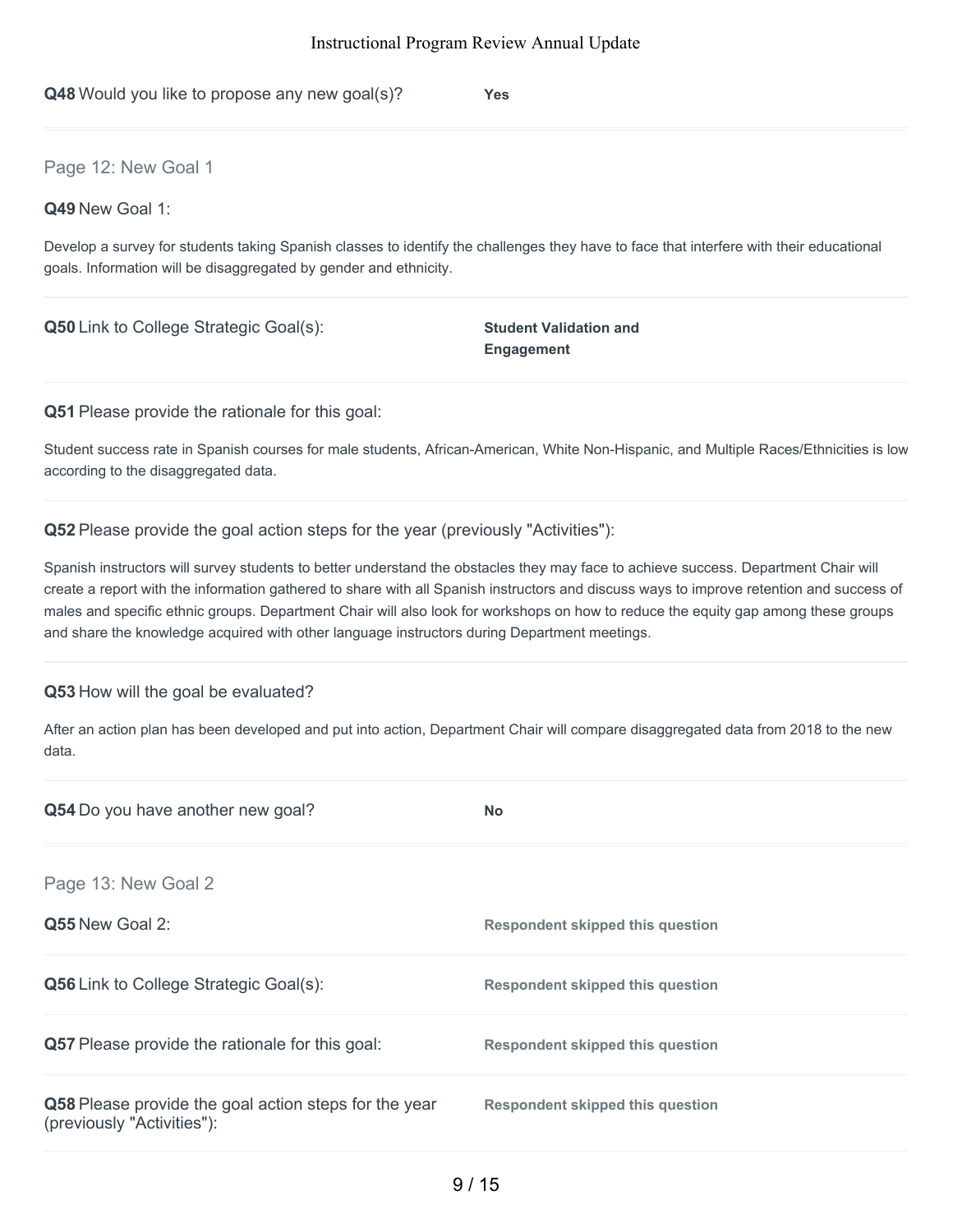**Q48** Would you like to propose any new goal(s)? **Yes**

### Page 12: New Goal 1

#### **Q49** New Goal 1:

Develop a survey for students taking Spanish classes to identify the challenges they have to face that interfere with their educational goals. Information will be disaggregated by gender and ethnicity.

**Q50** Link to College Strategic Goal(s): **Student Validation and** 

**Engagement**

**Q51** Please provide the rationale for this goal:

Student success rate in Spanish courses for male students, African-American, White Non-Hispanic, and Multiple Races/Ethnicities is low according to the disaggregated data.

#### **Q52** Please provide the goal action steps for the year (previously "Activities"):

Spanish instructors will survey students to better understand the obstacles they may face to achieve success. Department Chair will create a report with the information gathered to share with all Spanish instructors and discuss ways to improve retention and success of males and specific ethnic groups. Department Chair will also look for workshops on how to reduce the equity gap among these groups and share the knowledge acquired with other language instructors during Department meetings.

#### **Q53** How will the goal be evaluated?

After an action plan has been developed and put into action, Department Chair will compare disaggregated data from 2018 to the new data.

| Q54 Do you have another new goal?                                                   | <b>No</b>                               |
|-------------------------------------------------------------------------------------|-----------------------------------------|
| Page 13: New Goal 2                                                                 |                                         |
| Q55 New Goal 2:                                                                     | <b>Respondent skipped this question</b> |
| <b>Q56</b> Link to College Strategic Goal(s):                                       | <b>Respondent skipped this question</b> |
| <b>Q57</b> Please provide the rationale for this goal:                              | Respondent skipped this question        |
| Q58 Please provide the goal action steps for the year<br>(previously "Activities"): | Respondent skipped this question        |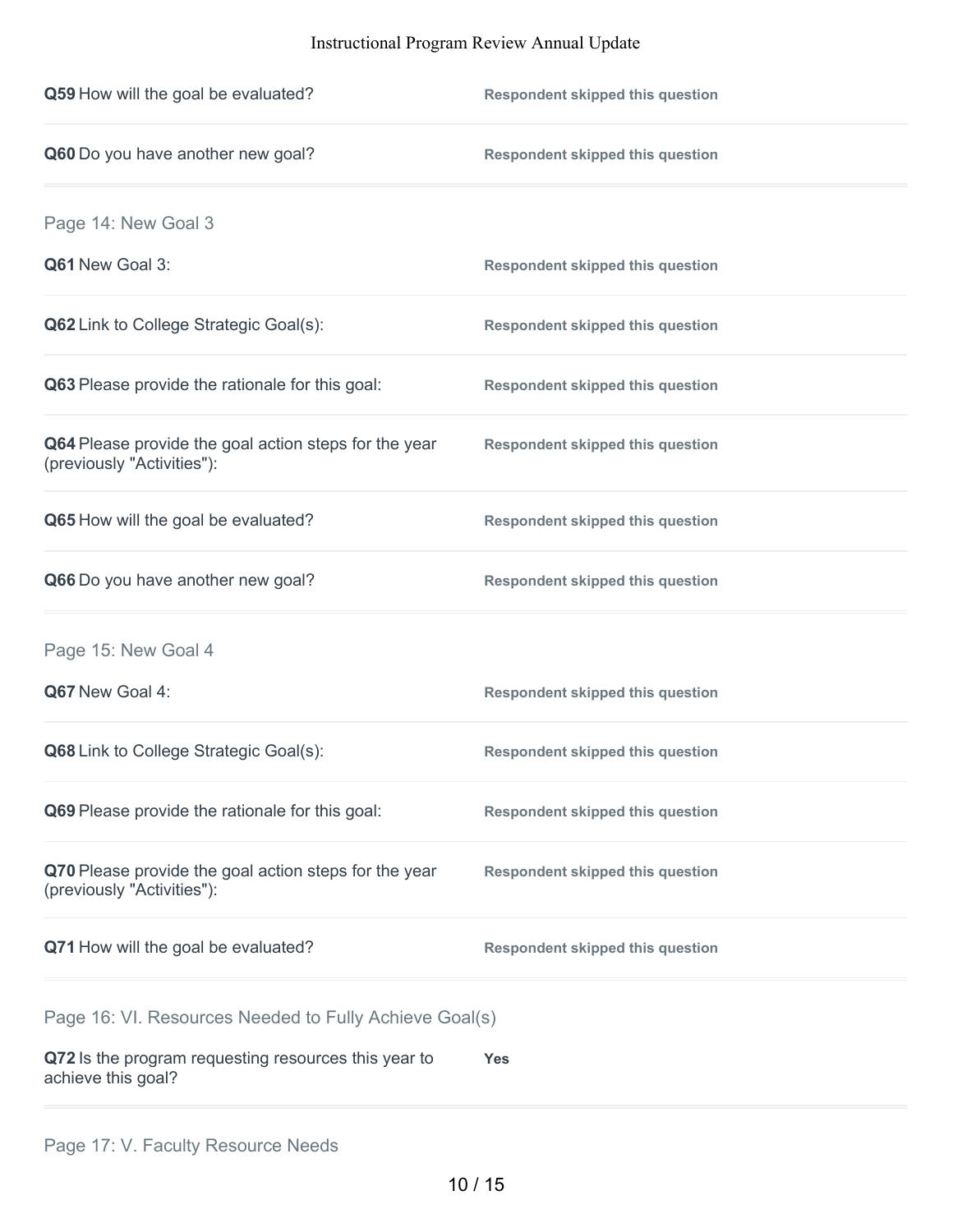| Q59 How will the goal be evaluated?                                                 | <b>Respondent skipped this question</b> |
|-------------------------------------------------------------------------------------|-----------------------------------------|
| Q60 Do you have another new goal?                                                   | <b>Respondent skipped this question</b> |
| Page 14: New Goal 3                                                                 |                                         |
| Q61 New Goal 3:                                                                     | <b>Respondent skipped this question</b> |
| Q62 Link to College Strategic Goal(s):                                              | <b>Respondent skipped this question</b> |
| Q63 Please provide the rationale for this goal:                                     | <b>Respondent skipped this question</b> |
| Q64 Please provide the goal action steps for the year<br>(previously "Activities"): | <b>Respondent skipped this question</b> |
| Q65 How will the goal be evaluated?                                                 | <b>Respondent skipped this question</b> |
| Q66 Do you have another new goal?                                                   | <b>Respondent skipped this question</b> |
| Page 15: New Goal 4                                                                 |                                         |
| Q67 New Goal 4:                                                                     | <b>Respondent skipped this question</b> |
| Q68 Link to College Strategic Goal(s):                                              | <b>Respondent skipped this question</b> |
| Q69 Please provide the rationale for this goal:                                     | <b>Respondent skipped this question</b> |
| Q70 Please provide the goal action steps for the year<br>(previously "Activities"): | <b>Respondent skipped this question</b> |
| Q71 How will the goal be evaluated?                                                 | <b>Respondent skipped this question</b> |
| Page 16: VI. Resources Needed to Fully Achieve Goal(s)                              |                                         |
| Q72 Is the program requesting resources this year to<br>achieve this goal?          | Yes                                     |
|                                                                                     |                                         |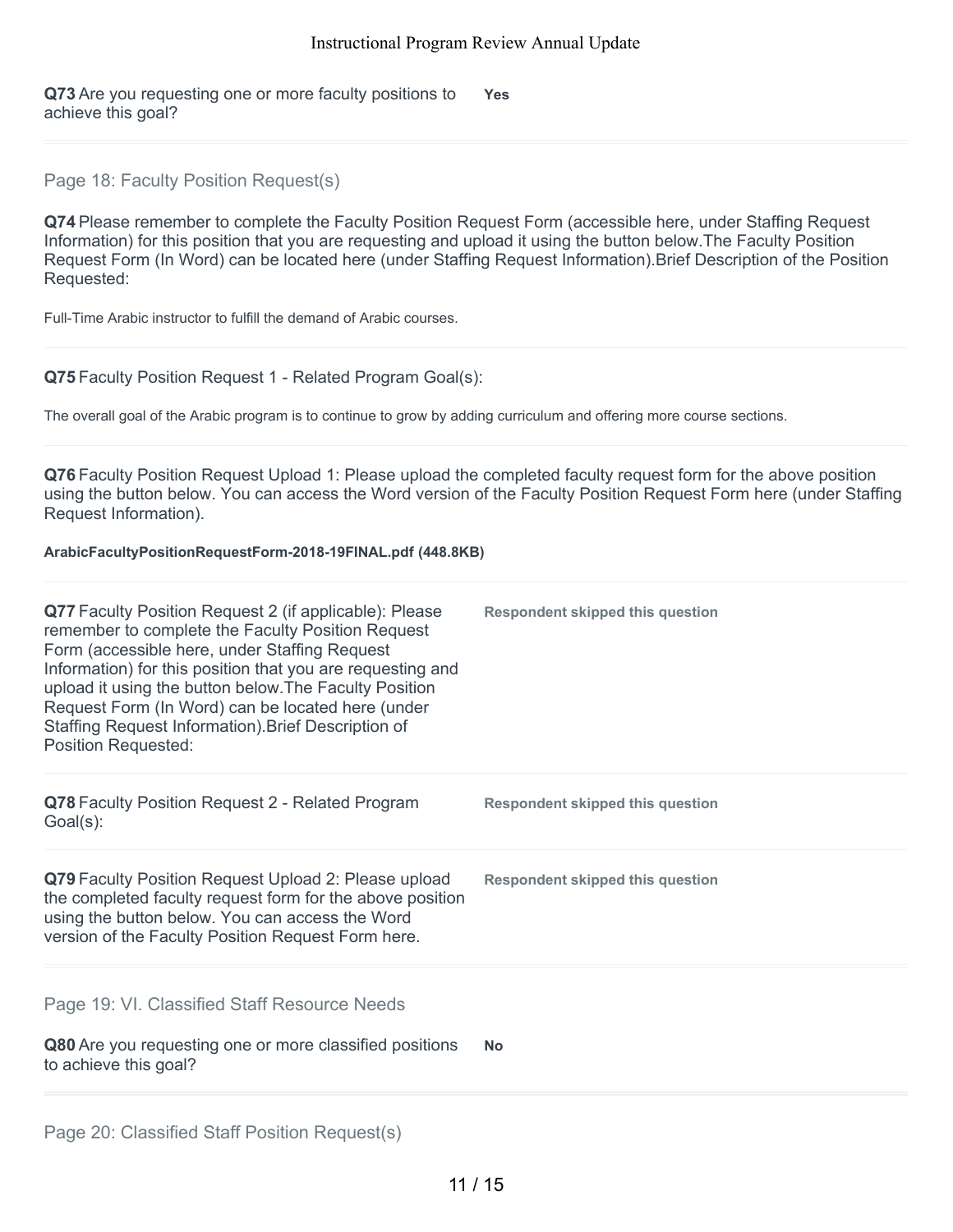**Q73** Are you requesting one or more faculty positions to achieve this goal? **Yes**

# Page 18: Faculty Position Request(s)

**Q74** Please remember to complete the Faculty Position Request Form (accessible here, under Staffing Request Information) for this position that you are requesting and upload it using the button below.The Faculty Position Request Form (In Word) can be located here (under Staffing Request Information).Brief Description of the Position Requested:

Full-Time Arabic instructor to fulfill the demand of Arabic courses.

#### **Q75** Faculty Position Request 1 - Related Program Goal(s):

The overall goal of the Arabic program is to continue to grow by adding curriculum and offering more course sections.

**Q76** Faculty Position Request Upload 1: Please upload the completed faculty request form for the above position using the button below. You can access the Word version of the Faculty Position Request Form here (under Staffing Request Information).

#### **ArabicFacultyPositionRequestForm-2018-19FINAL.pdf (448.8KB)**

| Q77 Faculty Position Request 2 (if applicable): Please<br>remember to complete the Faculty Position Request<br>Form (accessible here, under Staffing Request<br>Information) for this position that you are requesting and<br>upload it using the button below. The Faculty Position<br>Request Form (In Word) can be located here (under<br>Staffing Request Information). Brief Description of<br><b>Position Requested:</b> | <b>Respondent skipped this question</b> |
|--------------------------------------------------------------------------------------------------------------------------------------------------------------------------------------------------------------------------------------------------------------------------------------------------------------------------------------------------------------------------------------------------------------------------------|-----------------------------------------|
| Q78 Faculty Position Request 2 - Related Program<br>$Goal(s)$ :                                                                                                                                                                                                                                                                                                                                                                | <b>Respondent skipped this question</b> |
| Q79 Faculty Position Request Upload 2: Please upload<br>the completed faculty request form for the above position<br>using the button below. You can access the Word<br>version of the Faculty Position Request Form here.                                                                                                                                                                                                     | <b>Respondent skipped this question</b> |
| Page 19: VI. Classified Staff Resource Needs<br>Q80 Are you requesting one or more classified positions<br>to achieve this goal?                                                                                                                                                                                                                                                                                               | <b>No</b>                               |
|                                                                                                                                                                                                                                                                                                                                                                                                                                |                                         |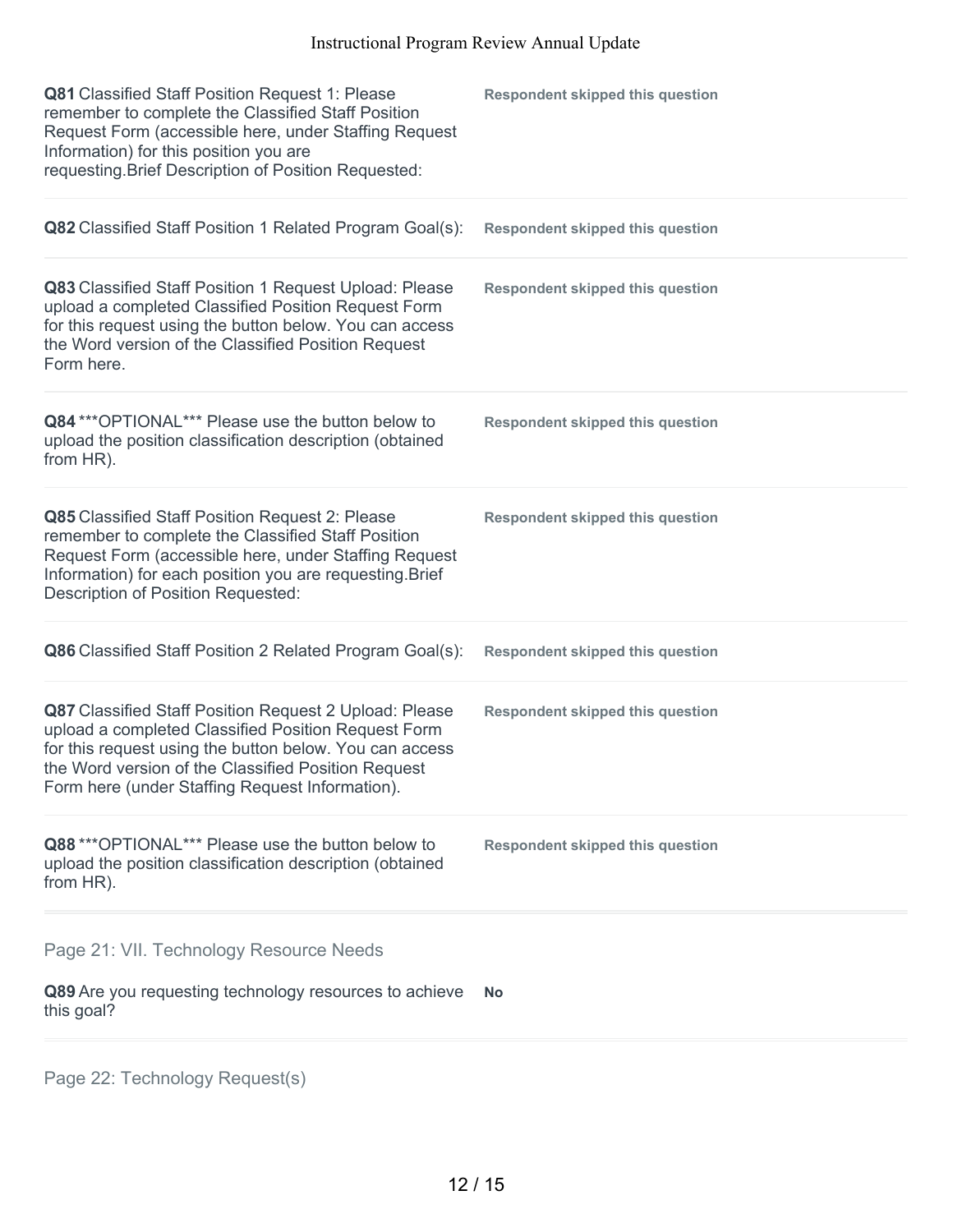| Q81 Classified Staff Position Request 1: Please<br>remember to complete the Classified Staff Position<br>Request Form (accessible here, under Staffing Request<br>Information) for this position you are<br>requesting. Brief Description of Position Requested:                   | <b>Respondent skipped this question</b> |
|------------------------------------------------------------------------------------------------------------------------------------------------------------------------------------------------------------------------------------------------------------------------------------|-----------------------------------------|
| Q82 Classified Staff Position 1 Related Program Goal(s):                                                                                                                                                                                                                           | <b>Respondent skipped this question</b> |
| Q83 Classified Staff Position 1 Request Upload: Please<br>upload a completed Classified Position Request Form<br>for this request using the button below. You can access<br>the Word version of the Classified Position Request<br>Form here.                                      | <b>Respondent skipped this question</b> |
| Q84 *** OPTIONAL*** Please use the button below to<br>upload the position classification description (obtained<br>from HR).                                                                                                                                                        | <b>Respondent skipped this question</b> |
| Q85 Classified Staff Position Request 2: Please<br>remember to complete the Classified Staff Position<br>Request Form (accessible here, under Staffing Request<br>Information) for each position you are requesting. Brief<br>Description of Position Requested:                   | <b>Respondent skipped this question</b> |
| Q86 Classified Staff Position 2 Related Program Goal(s):                                                                                                                                                                                                                           | <b>Respondent skipped this question</b> |
| Q87 Classified Staff Position Request 2 Upload: Please<br>upload a completed Classified Position Request Form<br>for this request using the button below. You can access<br>the Word version of the Classified Position Request<br>Form here (under Staffing Request Information). | <b>Respondent skipped this question</b> |
| Q88 *** OPTIONAL*** Please use the button below to<br>upload the position classification description (obtained<br>from HR).                                                                                                                                                        | <b>Respondent skipped this question</b> |
| Page 21: VII. Technology Resource Needs                                                                                                                                                                                                                                            |                                         |
| Q89 Are you requesting technology resources to achieve<br>this goal?                                                                                                                                                                                                               | No                                      |
|                                                                                                                                                                                                                                                                                    |                                         |

Page 22: Technology Request(s)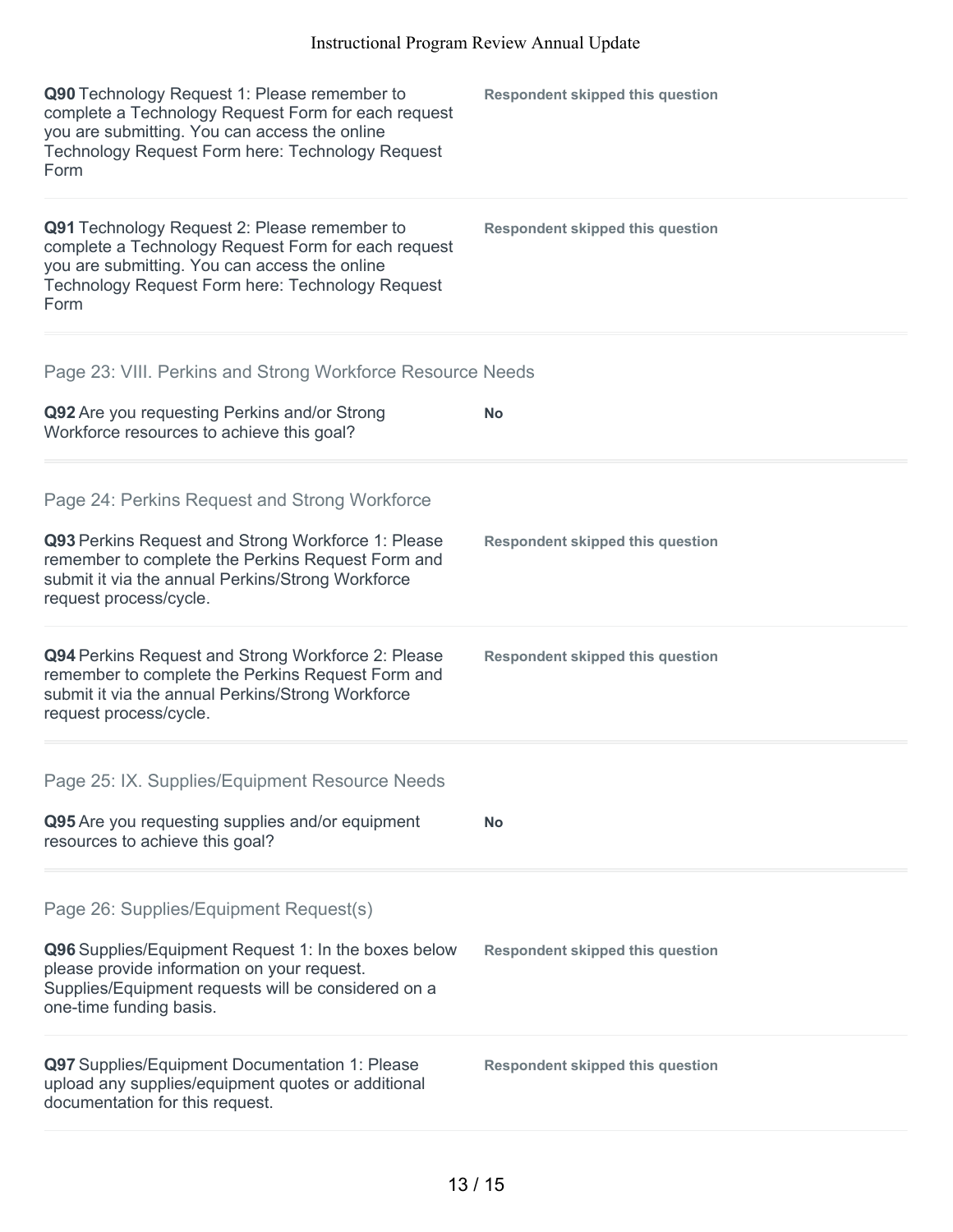| Q90 Technology Request 1: Please remember to<br>complete a Technology Request Form for each request<br>you are submitting. You can access the online<br>Technology Request Form here: Technology Request<br>Form | <b>Respondent skipped this question</b> |
|------------------------------------------------------------------------------------------------------------------------------------------------------------------------------------------------------------------|-----------------------------------------|
| Q91 Technology Request 2: Please remember to<br>complete a Technology Request Form for each request<br>you are submitting. You can access the online<br>Technology Request Form here: Technology Request<br>Form | <b>Respondent skipped this question</b> |
| Page 23: VIII. Perkins and Strong Workforce Resource Needs                                                                                                                                                       |                                         |
| Q92 Are you requesting Perkins and/or Strong<br>Workforce resources to achieve this goal?                                                                                                                        | <b>No</b>                               |
| Page 24: Perkins Request and Strong Workforce                                                                                                                                                                    |                                         |
| Q93 Perkins Request and Strong Workforce 1: Please<br>remember to complete the Perkins Request Form and<br>submit it via the annual Perkins/Strong Workforce<br>request process/cycle.                           | <b>Respondent skipped this question</b> |
| Q94 Perkins Request and Strong Workforce 2: Please<br>remember to complete the Perkins Request Form and<br>submit it via the annual Perkins/Strong Workforce<br>request process/cycle.                           | <b>Respondent skipped this question</b> |
| Page 25: IX. Supplies/Equipment Resource Needs                                                                                                                                                                   |                                         |
| Q95 Are you requesting supplies and/or equipment<br>resources to achieve this goal?                                                                                                                              | <b>No</b>                               |
| Page 26: Supplies/Equipment Request(s)                                                                                                                                                                           |                                         |
| Q96 Supplies/Equipment Request 1: In the boxes below<br>please provide information on your request.<br>Supplies/Equipment requests will be considered on a<br>one-time funding basis.                            | <b>Respondent skipped this question</b> |
| Q97 Supplies/Equipment Documentation 1: Please<br>upload any supplies/equipment quotes or additional<br>documentation for this request.                                                                          | <b>Respondent skipped this question</b> |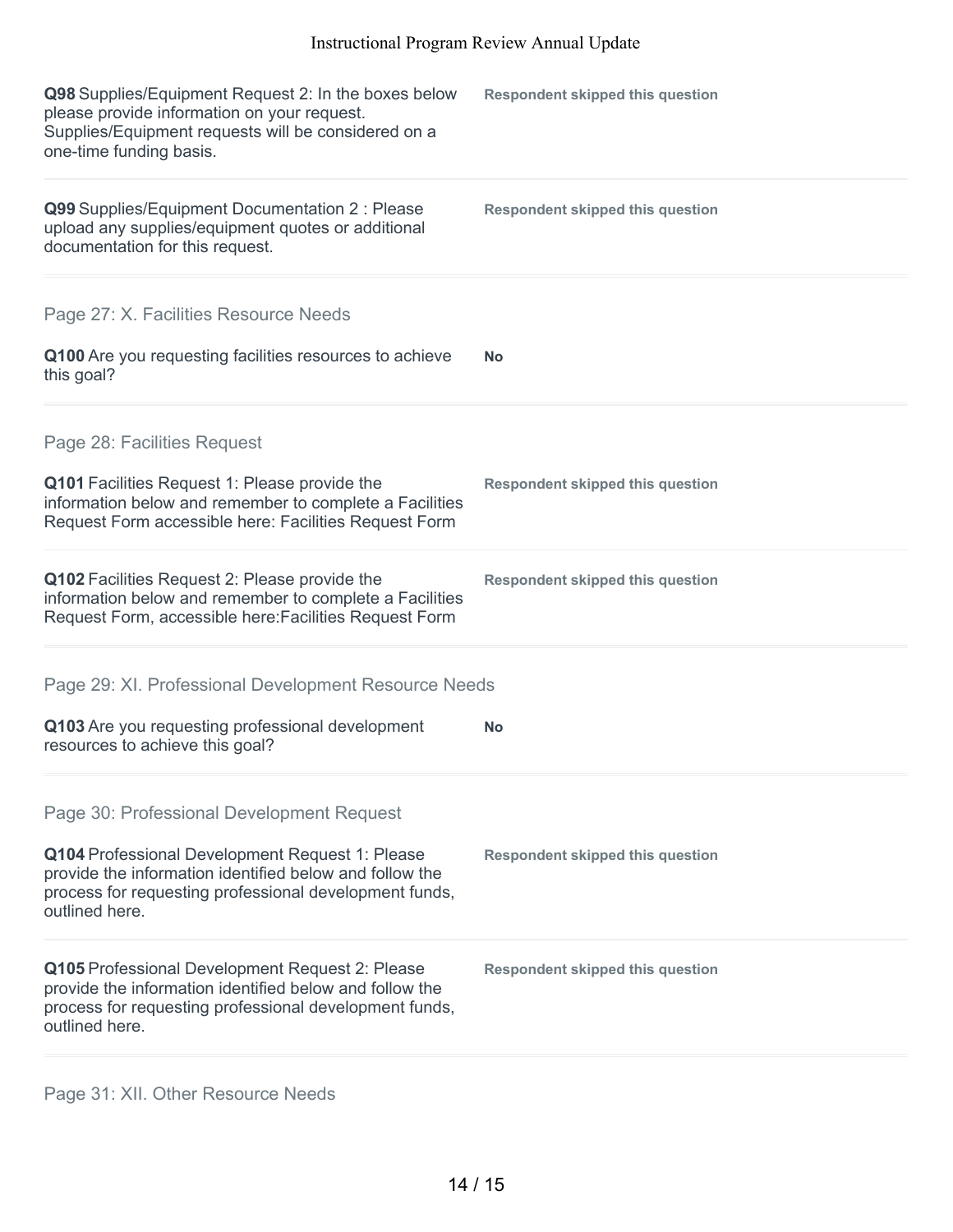| <b>Respondent skipped this question</b>                                                                            |
|--------------------------------------------------------------------------------------------------------------------|
| <b>Respondent skipped this question</b>                                                                            |
|                                                                                                                    |
| <b>No</b>                                                                                                          |
|                                                                                                                    |
| <b>Respondent skipped this question</b>                                                                            |
| <b>Respondent skipped this question</b>                                                                            |
| Page 29: XI. Professional Development Resource Needs                                                               |
| No                                                                                                                 |
|                                                                                                                    |
| <b>Respondent skipped this question</b>                                                                            |
| <b>Respondent skipped this question</b>                                                                            |
| information below and remember to complete a Facilities<br>information below and remember to complete a Facilities |